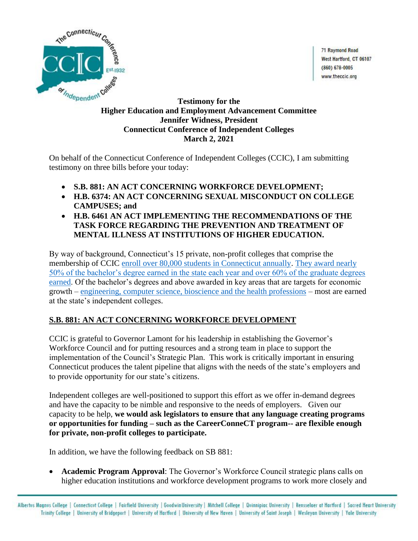

71 Raymond Road West Hartford, CT 06107  $(860) 678 - 0005$ www.theccic.org

## **Testimony for the Higher Education and Employment Advancement Committee Jennifer Widness, President Connecticut Conference of Independent Colleges March 2, 2021**

On behalf of the Connecticut Conference of Independent Colleges (CCIC), I am submitting testimony on three bills before your today:

- **S.B. 881: AN ACT CONCERNING WORKFORCE DEVELOPMENT;**
- **H.B. 6374: AN ACT CONCERNING SEXUAL MISCONDUCT ON COLLEGE CAMPUSES; and**
- **H.B. 6461 AN ACT IMPLEMENTING THE RECOMMENDATIONS OF THE TASK FORCE REGARDING THE PREVENTION AND TREATMENT OF MENTAL ILLNESS AT INSTITUTIONS OF HIGHER EDUCATION.**

By way of background, Connecticut's 15 private, non-profit colleges that comprise the membership of CCIC [enroll over 80,000 students in Connecticut annually.](http://www.theccic.org/Customer-Content/www/CMS/files/Matter_of_Fact_PDF/CT_12_month_enroll_2019_20.pdf) [They award nearly](http://www.theccic.org/Customer-Content/www/CMS/files/Matter_of_Fact_PDF/Where_Students_Earn_CT_2019.pdf)  [50% of the bachelor's degree earned in the state each year and over 60% of the graduate degrees](http://www.theccic.org/Customer-Content/www/CMS/files/Matter_of_Fact_PDF/Where_Students_Earn_CT_2019.pdf)  [earned.](http://www.theccic.org/Customer-Content/www/CMS/files/Matter_of_Fact_PDF/Where_Students_Earn_CT_2019.pdf) Of the bachelor's degrees and above awarded in key areas that are targets for economic growth – [engineering, computer science, bioscience and the health professions](http://www.theccic.org/Customer-Content/www/CMS/files/Matter_of_Fact_PDF/Cluster_degrees_2019.pdf) – most are earned at the state's independent colleges.

# **S.B. 881: AN ACT CONCERNING WORKFORCE DEVELOPMENT**

CCIC is grateful to Governor Lamont for his leadership in establishing the Governor's Workforce Council and for putting resources and a strong team in place to support the implementation of the Council's Strategic Plan. This work is critically important in ensuring Connecticut produces the talent pipeline that aligns with the needs of the state's employers and to provide opportunity for our state's citizens.

Independent colleges are well-positioned to support this effort as we offer in-demand degrees and have the capacity to be nimble and responsive to the needs of employers. Given our capacity to be help, **we would ask legislators to ensure that any language creating programs or opportunities for funding – such as the CareerConneCT program-- are flexible enough for private, non-profit colleges to participate.**

In addition, we have the following feedback on SB 881:

• **Academic Program Approval**: The Governor's Workforce Council strategic plans calls on higher education institutions and workforce development programs to work more closely and

Albertus Magnus College | Connecticut College | Fairfield University | Goodwin University | Mitchell College | Quinnipiac University | Rensselaer at Hartford | Sacred Heart University Trinity College | University of Bridgeport | University of Hartford | University of New Haven | University of Saint Joseph | Wesleyan University | Yale University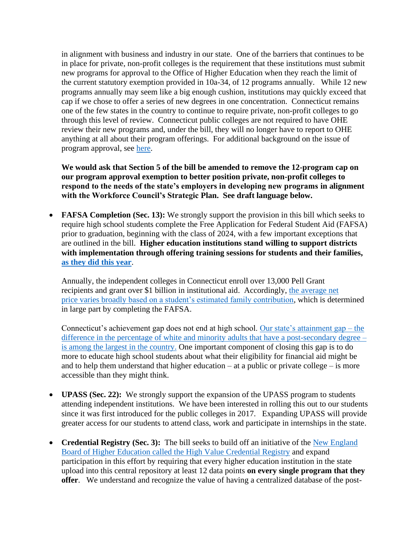in alignment with business and industry in our state. One of the barriers that continues to be in place for private, non-profit colleges is the requirement that these institutions must submit new programs for approval to the Office of Higher Education when they reach the limit of the current statutory exemption provided in 10a-34, of 12 programs annually. While 12 new programs annually may seem like a big enough cushion, institutions may quickly exceed that cap if we chose to offer a series of new degrees in one concentration. Connecticut remains one of the few states in the country to continue to require private, non-profit colleges to go through this level of review. Connecticut public colleges are not required to have OHE review their new programs and, under the bill, they will no longer have to report to OHE anything at all about their program offerings. For additional background on the issue of program approval, see [here.](http://www.theccic.org/Customer-Content/www/CMS/files/Program_Approval_Summary.pdf)

**We would ask that Section 5 of the bill be amended to remove the 12-program cap on our program approval exemption to better position private, non-profit colleges to respond to the needs of the state's employers in developing new programs in alignment with the Workforce Council's Strategic Plan. See draft language below.**

**FAFSA Completion (Sec. 13):** We strongly support the provision in this bill which seeks to require high school students complete the Free Application for Federal Student Aid (FAFSA) prior to graduation, beginning with the class of 2024, with a few important exceptions that are outlined in the bill. **Higher education institutions stand willing to support districts with implementation through offering training sessions for students and their families, [as they did this year](http://www.theccic.org/Customer-Content/www/CMS/files/CT_COLLEGE_BOUND_INITIATIVE_-_Press_Release_-_Final.pdf)**.

Annually, the independent colleges in Connecticut enroll over 13,000 Pell Grant recipients and grant over \$1 billion in institutional aid. Accordingly, [the average net](http://www.theccic.org/Customer-Content/www/CMS/files/Matter_of_Fact_PDF/Average_Aid_for_low_income_students_at_CCIC_inst_2018-19.pdf) [price varies broadly based on a student's estimated family contribution,](http://www.theccic.org/Customer-Content/www/CMS/files/Matter_of_Fact_PDF/Average_Aid_for_low_income_students_at_CCIC_inst_2018-19.pdf) which is determined in large part by completing the FAFSA.

Connecticut's achievement gap does not end at high school. [Our state's attainment gap –](http://www.theccic.org/Customer-Content/www/CMS/files/Matter_of_Fact_PDF/Black_white_attainment_by_state_2018_Ed_Trust.pdf) the [difference in the percentage of white and minority adults that have a post-secondary degree –](http://www.theccic.org/Customer-Content/www/CMS/files/Matter_of_Fact_PDF/Black_white_attainment_by_state_2018_Ed_Trust.pdf) [is among the largest in the country.](http://www.theccic.org/Customer-Content/www/CMS/files/Matter_of_Fact_PDF/Black_white_attainment_by_state_2018_Ed_Trust.pdf) One important component of closing this gap is to do more to educate high school students about what their eligibility for financial aid might be and to help them understand that higher education – at a public or private college – is more accessible than they might think.

- **UPASS (Sec. 22):** We strongly support the expansion of the UPASS program to students attending independent institutions. We have been interested in rolling this out to our students since it was first introduced for the public colleges in 2017. Expanding UPASS will provide greater access for our students to attend class, work and participate in internships in the state.
- **Credential Registry (Sec. 3):** The bill seeks to build off an initiative of the New England [Board of Higher Education called the High Value Credential Registry](https://nebhe.org/policy-research/grant-consulting-technical-assistance/high-value-credentials-for-new-england/) and expand participation in this effort by requiring that every higher education institution in the state upload into this central repository at least 12 data points **on every single program that they offer**. We understand and recognize the value of having a centralized database of the post-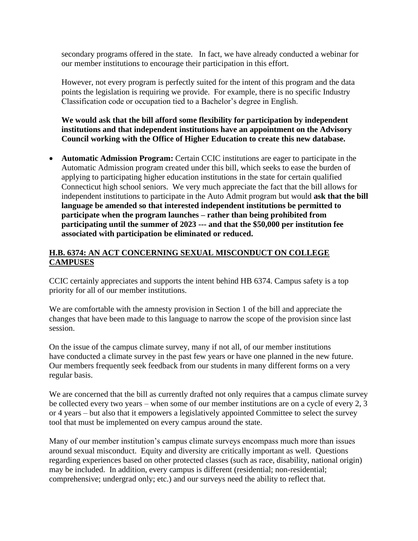secondary programs offered in the state. In fact, we have already conducted a webinar for our member institutions to encourage their participation in this effort.

However, not every program is perfectly suited for the intent of this program and the data points the legislation is requiring we provide. For example, there is no specific Industry Classification code or occupation tied to a Bachelor's degree in English.

**We would ask that the bill afford some flexibility for participation by independent institutions and that independent institutions have an appointment on the Advisory Council working with the Office of Higher Education to create this new database.**

• **Automatic Admission Program:** Certain CCIC institutions are eager to participate in the Automatic Admission program created under this bill, which seeks to ease the burden of applying to participating higher education institutions in the state for certain qualified Connecticut high school seniors. We very much appreciate the fact that the bill allows for independent institutions to participate in the Auto Admit program but would **ask that the bill language be amended so that interested independent institutions be permitted to participate when the program launches – rather than being prohibited from participating until the summer of 2023 --- and that the \$50,000 per institution fee associated with participation be eliminated or reduced.**

# **H.B. 6374: AN ACT CONCERNING SEXUAL MISCONDUCT ON COLLEGE CAMPUSES**

CCIC certainly appreciates and supports the intent behind HB 6374. Campus safety is a top priority for all of our member institutions.

We are comfortable with the amnesty provision in Section 1 of the bill and appreciate the changes that have been made to this language to narrow the scope of the provision since last session.

On the issue of the campus climate survey, many if not all, of our member institutions have conducted a climate survey in the past few years or have one planned in the new future. Our members frequently seek feedback from our students in many different forms on a very regular basis.

We are concerned that the bill as currently drafted not only requires that a campus climate survey be collected every two years – when some of our member institutions are on a cycle of every 2, 3 or 4 years – but also that it empowers a legislatively appointed Committee to select the survey tool that must be implemented on every campus around the state.

Many of our member institution's campus climate surveys encompass much more than issues around sexual misconduct. Equity and diversity are critically important as well. Questions regarding experiences based on other protected classes (such as race, disability, national origin) may be included. In addition, every campus is different (residential; non-residential; comprehensive; undergrad only; etc.) and our surveys need the ability to reflect that.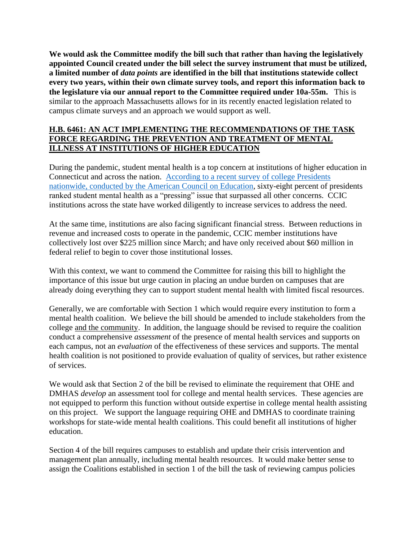**We would ask the Committee modify the bill such that rather than having the legislatively appointed Council created under the bill select the survey instrument that must be utilized, a limited number of** *data points* **are identified in the bill that institutions statewide collect every two years, within their own climate survey tools, and report this information back to the legislature via our annual report to the Committee required under 10a-55m.** This is similar to the approach Massachusetts allows for in its recently enacted legislation related to campus climate surveys and an approach we would support as well.

## **H.B. 6461: AN ACT IMPLEMENTING THE RECOMMENDATIONS OF THE TASK FORCE REGARDING THE PREVENTION AND TREATMENT OF MENTAL ILLNESS AT INSTITUTIONS OF HIGHER EDUCATION**

During the pandemic, student mental health is a top concern at institutions of higher education in Connecticut and across the nation. [According to a recent survey](https://www.insidehighered.com/news/2020/12/15/series-ace-president-surveys-shows-mental-and-financial-health-concerns) of college Presidents [nationwide, conducted by the American Council on Education,](https://www.insidehighered.com/news/2020/12/15/series-ace-president-surveys-shows-mental-and-financial-health-concerns) sixty-eight percent of presidents ranked student mental health as a "pressing" issue that surpassed all other concerns. CCIC institutions across the state have worked diligently to increase services to address the need.

At the same time, institutions are also facing significant financial stress. Between reductions in revenue and increased costs to operate in the pandemic, CCIC member institutions have collectively lost over \$225 million since March; and have only received about \$60 million in federal relief to begin to cover those institutional losses.

With this context, we want to commend the Committee for raising this bill to highlight the importance of this issue but urge caution in placing an undue burden on campuses that are already doing everything they can to support student mental health with limited fiscal resources.

Generally, we are comfortable with Section 1 which would require every institution to form a mental health coalition. We believe the bill should be amended to include stakeholders from the college and the community. In addition, the language should be revised to require the coalition conduct a comprehensive *assessment* of the presence of mental health services and supports on each campus, not an *evaluation* of the effectiveness of these services and supports. The mental health coalition is not positioned to provide evaluation of quality of services, but rather existence of services.

We would ask that Section 2 of the bill be revised to eliminate the requirement that OHE and DMHAS *develop* an assessment tool for college and mental health services. These agencies are not equipped to perform this function without outside expertise in college mental health assisting on this project. We support the language requiring OHE and DMHAS to coordinate training workshops for state-wide mental health coalitions. This could benefit all institutions of higher education.

Section 4 of the bill requires campuses to establish and update their crisis intervention and management plan annually, including mental health resources. It would make better sense to assign the Coalitions established in section 1 of the bill the task of reviewing campus policies